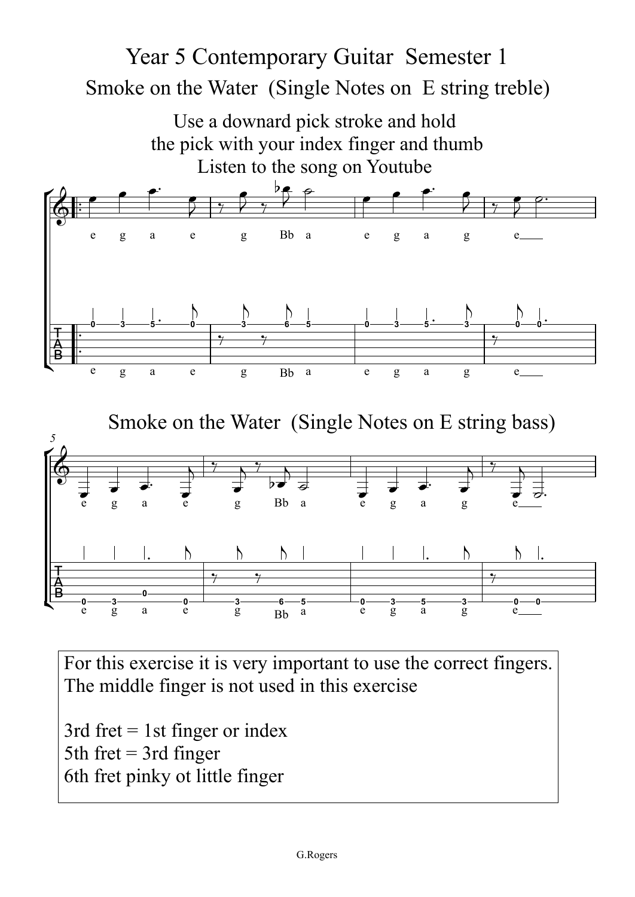## Smoke on the Water (Single Notes on E string treble) Year 5 Contemporary Guitar Semester 1

 $\theta$  $\left\| \frac{\mathbf{B}}{\mathbf{B}} \right\|_{\infty}$  $\frac{1}{2}$  $\frac{B}{0}$ ™ ™  $\frac{1}{\cdot}$ ™ e g a e g Bb a e g a g e  $\frac{1}{\alpha}$  g $\overline{a}$  e g Bb  $\begin{array}{ccccccccccccccccc}\n a & & e & g & a & g & e \end{array}$ e $\overline{g}$  a e g Bb a e g a g e  $\overline{g}$ . *5*e**0** $\frac{3}{g}$  a e  $\frac{0}{g}$  Bb a**5** $e$  b  $e$  g a g e  $e$  $\bigcirc$  : Use a downard pick stroke and hold the pick with your index finger and thumb Listen to the song on Youtube  $\overrightarrow{B}$  $\&$ Smoke on the Water (Single Notes on E string bass)  $\overrightarrow{B}$   $\overrightarrow{0}$   $\overrightarrow{3}$  $\overline{\phantom{a}}$ <sup>œ</sup> <sup>œ</sup>™ <sup>œ</sup>  $\frac{1}{2}$  $\frac{1}{7}$  $e$  be  $7, 7$  $\phi$ e  $\bullet$  $\overline{\phantom{a}}$ œ œ™ œ  $7 + 6$  $e^{\theta}$  $\overline{y}$  $\rho$ . **0** $rac{1}{3}$   $rac{1}{5}$   $rac{1}{3}$ ™ **<sup>0</sup>**  $\bigwedge$  $\frac{1}{\gamma}$ **3** $\overline{a}$  $\frac{1}{\sqrt{1-\frac{1}{2}}\sqrt{1-\frac{1}{2}}\left( \frac{1}{2}+\frac{1}{2}+\frac{1}{2}+\frac{1}{2}+\frac{1}{2}+\frac{1}{2}+\frac{1}{2}+\frac{1}{2}+\frac{1}{2}+\frac{1}{2}+\frac{1}{2}+\frac{1}{2}+\frac{1}{2}+\frac{1}{2}+\frac{1}{2}+\frac{1}{2}+\frac{1}{2}+\frac{1}{2}+\frac{1}{2}+\frac{1}{2}+\frac{1}{2}+\frac{1}{2}+\frac{1}{2}+\frac{1}{2}+\frac{1}{2}+\frac{1}{2}+\frac{1}{2}+\$ **6** $\mathbf{h}$  | **5 0 3 5**  $\begin{array}{c}\n\cdot & \cdot \\
\hline\n3 & \cdot\n\end{array}$  $\bigwedge$  $\frac{1}{\sqrt{1-\frac{1}{2}}\sqrt{1-\frac{1}{2}}\left( \frac{1}{2}+\frac{1}{2}+\frac{1}{2}+\frac{1}{2}+\frac{1}{2}+\frac{1}{2}+\frac{1}{2}+\frac{1}{2}+\frac{1}{2}+\frac{1}{2}+\frac{1}{2}+\frac{1}{2}+\frac{1}{2}+\frac{1}{2}+\frac{1}{2}+\frac{1}{2}+\frac{1}{2}+\frac{1}{2}+\frac{1}{2}+\frac{1}{2}+\frac{1}{2}+\frac{1}{2}+\frac{1}{2}+\frac{1}{2}+\frac{1}{2}+\frac{1}{2}+\frac{1}{2}+\$ **0** $\frac{1}{2}$ **0**™  $\overrightarrow{e}$  $\overrightarrow{e}$   $\overrightarrow{r}$   $\overrightarrow{a}$  $\begin{array}{c} \bullet \\ \bullet \end{array}$  $\Rightarrow'$  b $\rightarrow'$  $\frac{1}{2}$  $\overrightarrow{b}$  $\overline{\phantom{0}}$ ˙  $\frac{1}{\epsilon}$   $\frac{1}{\epsilon}$  $\frac{1}{e^x}$  $\begin{array}{c} \bullet \end{array}$ œ ˙™  $\overline{\phantom{0}}$  $\frac{3}{2}$  a **0**™ **0** $\mathcal{L}$  $\gamma$ **3** $\bigwedge$  $\frac{1}{\sqrt{2\pi}}$ **6** $\frac{1}{2}$  $\frac{1}{10}$   $\frac{3}{5}$ ™ **3** $\mathcal{L}$  $\frac{1}{\sqrt{2\pi}}$ **0** $\frac{1}{2}$ **0**™

For this exercise it is very important to use the correct fingers.<br>The middle finger is not used in this exercise. The middle finger is not used in this exercise

3rd fret = 1st finger or index  $5th$  fret = 3rd finger or  $\frac{1}{10}$ 6th fret pinky ot little finger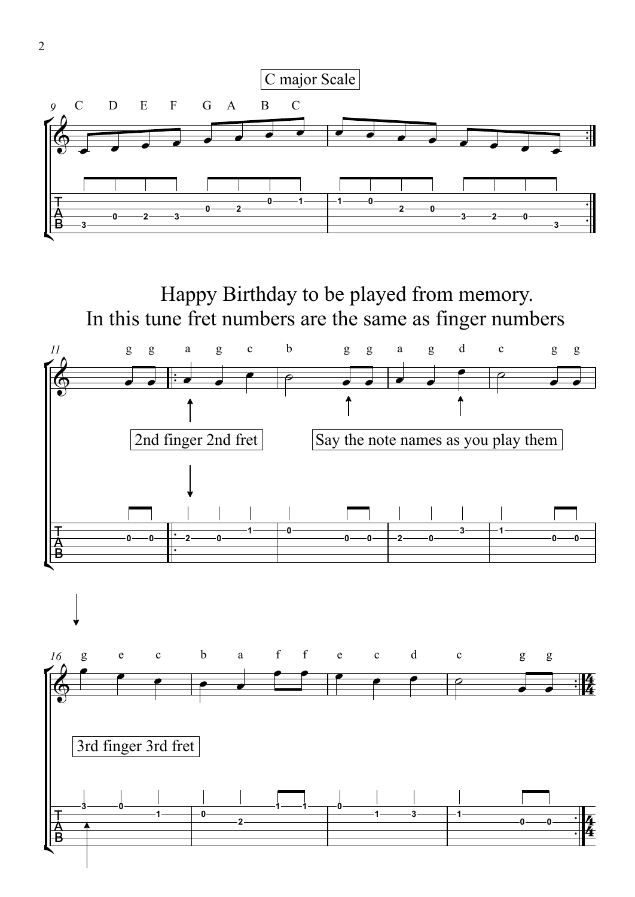

Happy Birthday to be played from memory. In this tune fret numbers are the same as finger numbers